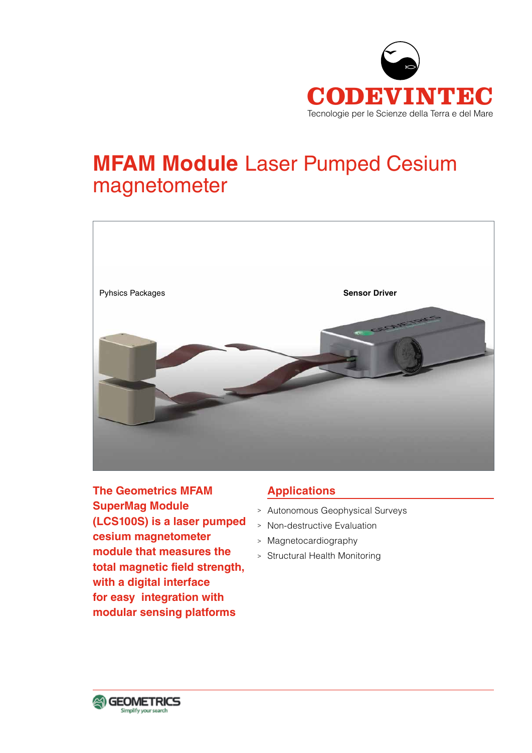

# **MFAM Module** Laser Pumped Cesium magnetometer



**The Geometrics MFAM SuperMag Module (LCS100S) is a laser pumped cesium magnetometer module that measures the total magnetic field strength, with a digital interface for easy integration with modular sensing platforms**

# **Applications**

- <sup>&</sup>gt; Autonomous Geophysical Surveys
- <sup>&</sup>gt; Non-destructive Evaluation
- <sup>&</sup>gt; Magnetocardiography
- <sup>&</sup>gt; Structural Health Monitoring

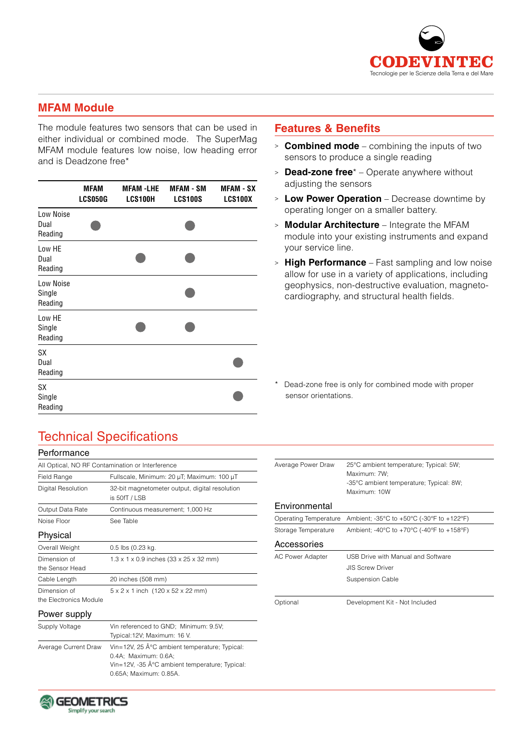

## **MFAM Module**

The module features two sensors that can be used in either individual or combined mode. The SuperMag MFAM module features low noise, low heading error and is Deadzone free\*

|                                | <b>MFAM</b><br><b>LCS050G</b> | <b>MFAM -LHE</b><br>LCS100H | <b>MFAM - SM</b><br><b>LCS100S</b> | <b>MFAM - SX</b><br><b>LCS100X</b> |
|--------------------------------|-------------------------------|-----------------------------|------------------------------------|------------------------------------|
| Low Noise<br>Dual<br>Reading   |                               |                             |                                    |                                    |
| Low HE<br>Dual<br>Reading      |                               |                             |                                    |                                    |
| Low Noise<br>Single<br>Reading |                               |                             |                                    |                                    |
| Low HE<br>Single<br>Reading    |                               |                             |                                    |                                    |
| <b>SX</b><br>Dual<br>Reading   |                               |                             |                                    |                                    |
| <b>SX</b><br>Single<br>Reading |                               |                             |                                    |                                    |

## **Features & Benefits**

- <sup>&</sup>gt; **Combined mode** combining the inputs of two sensors to produce a single reading
- <sup>&</sup>gt; **Dead-zone free**\* Operate anywhere without adjusting the sensors
- <sup>&</sup>gt; **Low Power Operation** Decrease downtime by operating longer on a smaller battery.
- <sup>&</sup>gt; **Modular Architecture** Integrate the MFAM module into your existing instruments and expand your service line.
- <sup>&</sup>gt; **High Performance** Fast sampling and low noise allow for use in a variety of applications, including geophysics, non-destructive evaluation, magnetocardiography, and structural health fields.

\* Dead-zone free is only for combined mode with proper sensor orientations.

# Technical Specifications

| Performance                                      |                                                                   |  |  |  |
|--------------------------------------------------|-------------------------------------------------------------------|--|--|--|
| All Optical, NO RF Contamination or Interference |                                                                   |  |  |  |
| Field Range                                      | Fullscale, Minimum: 20 µT; Maximum: 100 µT                        |  |  |  |
| Digital Resolution                               | 32-bit magnetometer output, digital resolution<br>is 50fT / LSB   |  |  |  |
| Output Data Rate                                 | Continuous measurement; 1,000 Hz                                  |  |  |  |
| See Table<br>Noise Floor                         |                                                                   |  |  |  |
| Physical                                         |                                                                   |  |  |  |
| Overall Weight                                   | 0.5 lbs (0.23 kg.                                                 |  |  |  |
| Dimension of<br>the Sensor Head                  | $1.3 \times 1 \times 0.9$ inches (33 x 25 x 32 mm)                |  |  |  |
| Cable Length                                     | 20 inches (508 mm)                                                |  |  |  |
| Dimension of<br>the Electronics Module           | $5 \times 2 \times 1$ inch $(120 \times 52 \times 22 \text{ mm})$ |  |  |  |
| Power supply                                     |                                                                   |  |  |  |

| 25°C ambient temperature; Typical: 5W;<br>Maximum: 7W:<br>-35°C ambient temperature; Typical: 8W;<br>Maximum: 10W |  |  |
|-------------------------------------------------------------------------------------------------------------------|--|--|
|                                                                                                                   |  |  |
| Ambient; -35°C to +50°C (-30°F to +122°F)                                                                         |  |  |
| Ambient; -40°C to +70°C (-40°F to +158°F)                                                                         |  |  |
|                                                                                                                   |  |  |
| USB Drive with Manual and Software                                                                                |  |  |
| <b>JIS Screw Driver</b>                                                                                           |  |  |
| Suspension Cable                                                                                                  |  |  |
|                                                                                                                   |  |  |
| Development Kit - Not Included                                                                                    |  |  |
|                                                                                                                   |  |  |
|                                                                                                                   |  |  |

|  | Power supply |  |  |
|--|--------------|--|--|
|  |              |  |  |

| Supply Voltage       | Vin referenced to GND; Minimum: 9.5V;         |  |  |
|----------------------|-----------------------------------------------|--|--|
|                      | Typical: 12V; Maximum: 16 V.                  |  |  |
| Average Current Draw | Vin=12V, 25 °C ambient temperature; Typical:  |  |  |
|                      | 0.4A: Maximum: 0.6A:                          |  |  |
|                      | Vin=12V, -35 °C ambient temperature; Typical: |  |  |
|                      | 0.65A: Maximum: 0.85A.                        |  |  |
|                      |                                               |  |  |

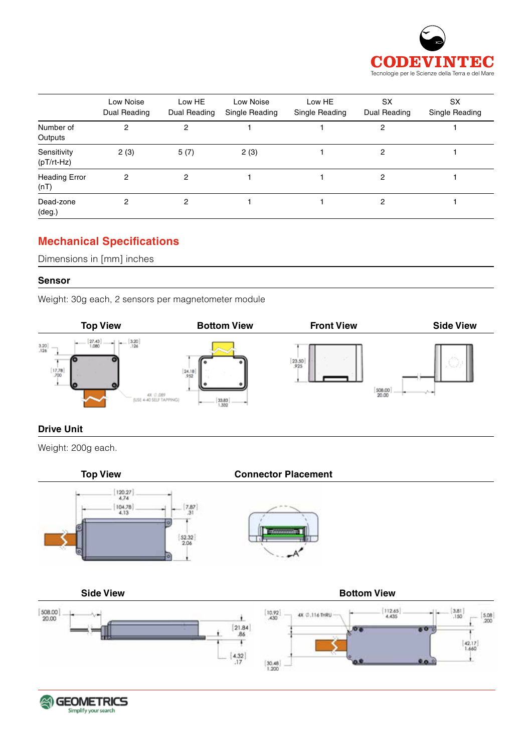

|                              | Low Noise<br>Dual Reading | Low HE<br>Dual Reading | Low Noise<br>Single Reading | Low HE<br>Single Reading | <b>SX</b><br>Dual Reading | SX<br>Single Reading |
|------------------------------|---------------------------|------------------------|-----------------------------|--------------------------|---------------------------|----------------------|
| Number of<br>Outputs         | 2                         | 2                      |                             |                          | 2                         |                      |
| Sensitivity<br>$(pT/rt-Hz)$  | 2(3)                      | 5(7)                   | 2(3)                        |                          | 2                         |                      |
| <b>Heading Error</b><br>(nT) | 2                         | 2                      |                             |                          | 2                         |                      |
| Dead-zone<br>$(\text{deg.})$ | 2                         | 2                      |                             |                          | 2                         |                      |

# **Mechanical Specifications**

Dimensions in [mm] inches

#### **Sensor**

Weight: 30g each, 2 sensors per magnetometer module



## **Drive Unit**

Weight: 200g each.